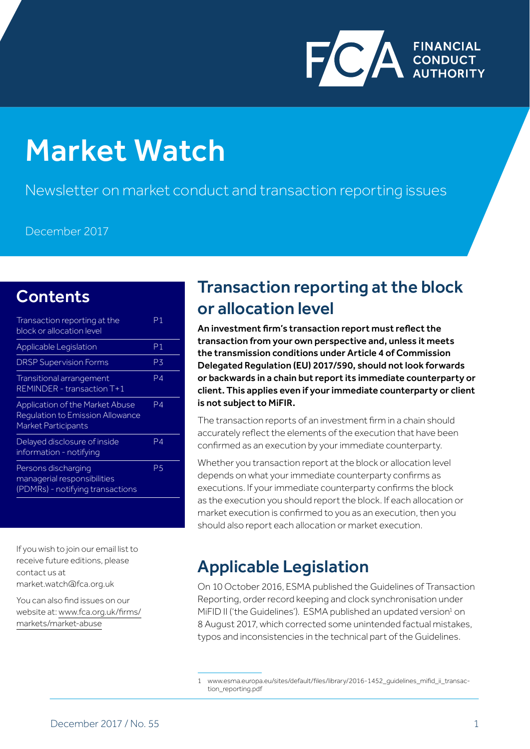

# Market Watch

Newsletter on market conduct and transaction reporting issues

December 2017

# **Contents**

| Transaction reporting at the<br>block or allocation level                                                | Ρ1 |
|----------------------------------------------------------------------------------------------------------|----|
| <b>Applicable Legislation</b>                                                                            | Ρ1 |
| <b>DRSP Supervision Forms</b>                                                                            | P3 |
| Transitional arrangement<br>REMINDER - transaction T+1                                                   | P4 |
| <b>Application of the Market Abuse</b><br>Regulation to Emission Allowance<br><b>Market Participants</b> | P4 |
| Delayed disclosure of inside<br>information - notifying                                                  | P4 |
| Persons discharging<br>managerial responsibilities<br>(PDMRs) - notifying transactions                   | P5 |

If you wish to join our email list to receive future editions, please contact us at market.watch@fca.org.uk

You can also find issues on our website at: www.fca.org.uk/firms/ markets/market-abuse

## Transaction reporting at the block or allocation level

An investment firm's transaction report must reflect the transaction from your own perspective and, unless it meets the transmission conditions under Article 4 of Commission Delegated Regulation (EU) 2017/590, should not look forwards or backwards in a chain but report its immediate counterparty or client. This applies even if your immediate counterparty or client is not subject to MiFIR.

The transaction reports of an investment firm in a chain should accurately reflect the elements of the execution that have been confirmed as an execution by your immediate counterparty.

Whether you transaction report at the block or allocation level depends on what your immediate counterparty confirms as executions. If your immediate counterparty confirms the block as the execution you should report the block. If each allocation or market execution is confirmed to you as an execution, then you should also report each allocation or market execution.

# Applicable Legislation

On 10 October 2016, ESMA published the Guidelines of Transaction Reporting, order record keeping and clock synchronisation under MiFID II ('the Guidelines').  $ESMA$  published an updated version $^1$  on 8 August 2017, which corrected some unintended factual mistakes, typos and inconsistencies in the technical part of the Guidelines.

<sup>1</sup> www.esma.europa.eu/sites/default/files/library/2016-1452\_guidelines\_mifid\_ii\_transaction\_reporting.pdf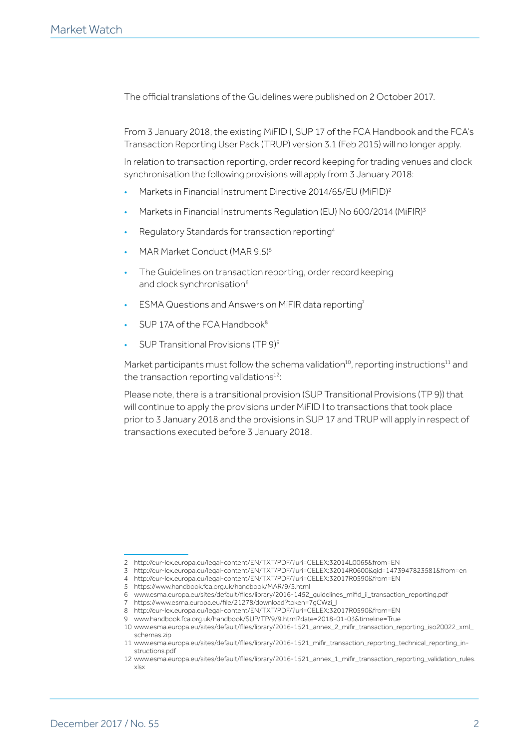The official translations of the Guidelines were published on 2 October 2017.

From 3 January 2018, the existing MiFID I, SUP 17 of the FCA Handbook and the FCA's Transaction Reporting User Pack (TRUP) version 3.1 (Feb 2015) will no longer apply.

In relation to transaction reporting, order record keeping for trading venues and clock synchronisation the following provisions will apply from 3 January 2018:

- Markets in Financial Instrument Directive 2014/65/EU (MiFID)2
- Markets in Financial Instruments Regulation (EU) No 600/2014 (MiFIR)3
- Regulatory Standards for transaction reporting4
- MAR Market Conduct (MAR 9.5)5
- The Guidelines on transaction reporting, order record keeping and clock synchronisation<sup>6</sup>
- ESMA Questions and Answers on MiFIR data reporting7
- SUP 17A of the FCA Handbook<sup>8</sup>
- SUP Transitional Provisions (TP 9)9

Market participants must follow the schema validation<sup>10</sup>, reporting instructions<sup>11</sup> and the transaction reporting validations $12$ :

Please note, there is a transitional provision (SUP Transitional Provisions (TP 9)) that will continue to apply the provisions under MiFID I to transactions that took place prior to 3 January 2018 and the provisions in SUP 17 and TRUP will apply in respect of transactions executed before 3 January 2018.

<sup>2</sup> http://eur-lex.europa.eu/legal-content/EN/TXT/PDF/?uri=CELEX:32014L0065&from=EN

<sup>3</sup> http://eur-lex.europa.eu/legal-content/EN/TXT/PDF/?uri=CELEX:32014R0600&qid=1473947823581&from=en

<sup>4</sup> http://eur-lex.europa.eu/legal-content/EN/TXT/PDF/?uri=CELEX:32017R0590&from=EN

<sup>5</sup> https://www.handbook.fca.org.uk/handbook/MAR/9/5.html

<sup>6</sup> www.esma.europa.eu/sites/default/files/library/2016-1452\_guidelines\_mifid\_ii\_transaction\_reporting.pdf

<sup>7</sup> https://www.esma.europa.eu/file/21278/download?token=7gCWzi\_l

<sup>8</sup> http://eur-lex.europa.eu/legal-content/EN/TXT/PDF/?uri=CELEX:32017R0590&from=EN

<sup>9</sup> www.handbook.fca.org.uk/handbook/SUP/TP/9/9.html?date=2018-01-03&timeline=True 10 www.esma.europa.eu/sites/default/files/library/2016-1521\_annex\_2\_mifir\_transaction\_reporting\_iso20022\_xml\_ schemas zin

<sup>11</sup> www.esma.europa.eu/sites/default/files/library/2016-1521\_mifir\_transaction\_reporting\_technical\_reporting\_instructions.pdf

<sup>12</sup> www.esma.europa.eu/sites/default/files/library/2016-1521\_annex\_1\_mifir\_transaction\_reporting\_validation\_rules. xlsx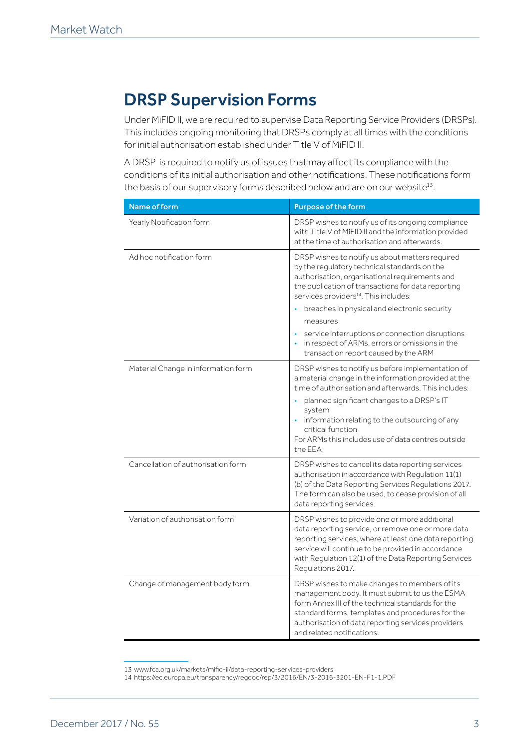## DRSP Supervision Forms

Under MiFID II, we are required to supervise Data Reporting Service Providers (DRSPs). This includes ongoing monitoring that DRSPs comply at all times with the conditions for initial authorisation established under Title V of MiFID II.

A DRSP is required to notify us of issues that may affect its compliance with the conditions of its initial authorisation and other notifications. These notifications form the basis of our supervisory forms described below and are on our website<sup>13</sup>.

| Name of form                        | <b>Purpose of the form</b>                                                                                                                                                                                                                                                                                                                                         |
|-------------------------------------|--------------------------------------------------------------------------------------------------------------------------------------------------------------------------------------------------------------------------------------------------------------------------------------------------------------------------------------------------------------------|
| Yearly Notification form            | DRSP wishes to notify us of its ongoing compliance<br>with Title V of MiFID II and the information provided<br>at the time of authorisation and afterwards.                                                                                                                                                                                                        |
| Ad hoc notification form            | DRSP wishes to notify us about matters required<br>by the regulatory technical standards on the<br>authorisation, organisational requirements and<br>the publication of transactions for data reporting<br>services providers <sup>14</sup> . This includes:                                                                                                       |
|                                     | breaches in physical and electronic security                                                                                                                                                                                                                                                                                                                       |
|                                     | measures                                                                                                                                                                                                                                                                                                                                                           |
|                                     | service interruptions or connection disruptions<br>in respect of ARMs, errors or omissions in the<br>transaction report caused by the ARM                                                                                                                                                                                                                          |
| Material Change in information form | DRSP wishes to notify us before implementation of<br>a material change in the information provided at the<br>time of authorisation and afterwards. This includes:<br>planned significant changes to a DRSP's IT<br>system<br>information relating to the outsourcing of any<br>critical function<br>For ARMs this includes use of data centres outside<br>the EEA. |
| Cancellation of authorisation form  | DRSP wishes to cancel its data reporting services<br>authorisation in accordance with Regulation 11(1)<br>(b) of the Data Reporting Services Regulations 2017.<br>The form can also be used, to cease provision of all<br>data reporting services.                                                                                                                 |
| Variation of authorisation form     | DRSP wishes to provide one or more additional<br>data reporting service, or remove one or more data<br>reporting services, where at least one data reporting<br>service will continue to be provided in accordance<br>with Regulation 12(1) of the Data Reporting Services<br>Regulations 2017.                                                                    |
| Change of management body form      | DRSP wishes to make changes to members of its<br>management body. It must submit to us the ESMA<br>form Annex III of the technical standards for the<br>standard forms, templates and procedures for the<br>authorisation of data reporting services providers<br>and related notifications.                                                                       |

<sup>13</sup> www.fca.org.uk/markets/mifid-ii/data-reporting-services-providers

<sup>14</sup> https://ec.europa.eu/transparency/regdoc/rep/3/2016/EN/3-2016-3201-EN-F1-1.PDF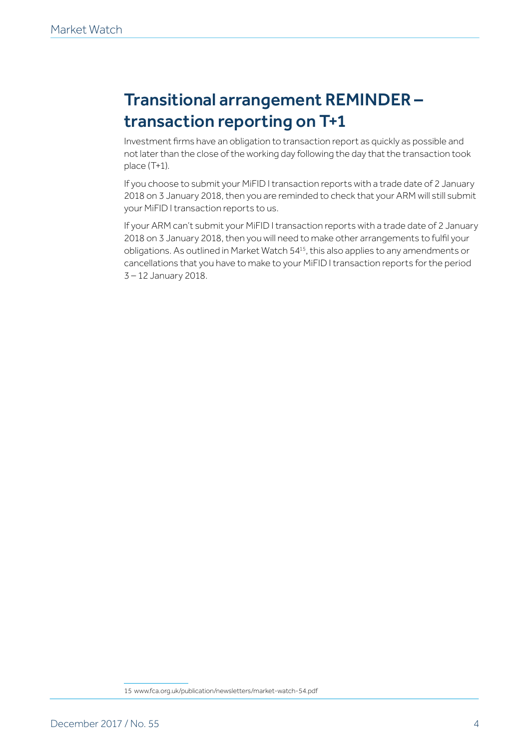# Transitional arrangement REMINDER – transaction reporting on T+1

Investment firms have an obligation to transaction report as quickly as possible and not later than the close of the working day following the day that the transaction took place (T+1).

If you choose to submit your MiFID I transaction reports with a trade date of 2 January 2018 on 3 January 2018, then you are reminded to check that your ARM will still submit your MiFID I transaction reports to us.

If your ARM can't submit your MiFID I transaction reports with a trade date of 2 January 2018 on 3 January 2018, then you will need to make other arrangements to fulfil your obligations. As outlined in Market Watch 5415, this also applies to any amendments or cancellations that you have to make to your MiFID I transaction reports for the period 3 – 12 January 2018.

<sup>15</sup> www.fca.org.uk/publication/newsletters/market-watch-54.pdf